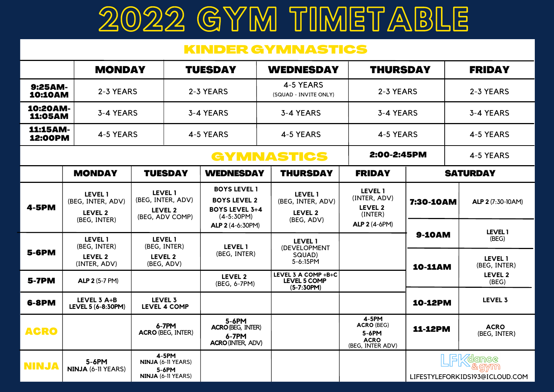## 2022 GYM TIMETABLE

## KINDER GYMNASTICS

|                            | <b>MONDAY</b>                                                  |                                                                      | <b>TUESDAY</b>    |                                                                                     | <b>WEDNESDAY</b>                                             |                                                                        | <b>THURSDAY</b>                                          |           | <b>FRIDAY</b>                           |  |
|----------------------------|----------------------------------------------------------------|----------------------------------------------------------------------|-------------------|-------------------------------------------------------------------------------------|--------------------------------------------------------------|------------------------------------------------------------------------|----------------------------------------------------------|-----------|-----------------------------------------|--|
| 9:25AM-<br><b>10:10AM</b>  | 2-3 YEARS                                                      |                                                                      | 2-3 YEARS         |                                                                                     | 4-5 YEARS<br>(SQUAD - INVITE ONLY)                           | 2-3 YEARS                                                              |                                                          | 2-3 YEARS |                                         |  |
| 10:20AM-<br><b>11:05AM</b> | 3-4 YEARS                                                      |                                                                      |                   | 3-4 YEARS                                                                           | 3-4 YEARS                                                    |                                                                        | 3-4 YEARS                                                |           | 3-4 YEARS                               |  |
| 11:15AM-<br>12:00PM        | 4-5 YEARS                                                      |                                                                      | 4-5 YEARS         |                                                                                     | 4-5 YEARS                                                    |                                                                        | 4-5 YEARS                                                |           | 4-5 YEARS                               |  |
|                            |                                                                |                                                                      | <b>GYMNASTICS</b> |                                                                                     |                                                              | 2:00-2:45PM                                                            |                                                          | 4-5 YEARS |                                         |  |
|                            | <b>MONDAY</b>                                                  | <b>TUESDAY</b>                                                       |                   | <b>WEDNESDAY</b>                                                                    | <b>THURSDAY</b>                                              | <b>FRIDAY</b>                                                          | <b>SATURDAY</b>                                          |           |                                         |  |
| <b>4-5PM</b>               | <b>LEVEL 1</b><br>(BEG, INTER, ADV)<br>LEVEL 2<br>(BEG, INTER) | <b>LEVEL 1</b><br>(BEG, INTER, ADV)<br>LEVEL 2<br>(BEG, ADV COMP)    |                   | <b>BOYS LEVEL 1</b><br><b>BOYS LEVEL 2</b><br><b>BOYS LEVEL 3+4</b><br>$(4-5:30PM)$ | <b>LEVEL 1</b><br>(BEG, INTER, ADV)<br>LEVEL 2<br>(BEG, ADV) | <b>LEVEL 1</b><br>(INTER, ADV)<br>LEVEL 2<br>(INTER)                   | 7:30-10AM                                                |           | ALP 2 (7:30-10AM)                       |  |
|                            |                                                                |                                                                      |                   | ALP 2 (4-6:30PM)                                                                    |                                                              | <b>ALP 2 (4-6PM)</b>                                                   | <b>9-10AM</b>                                            |           | LEVEL 1                                 |  |
| <b>5-6PM</b>               | <b>LEVEL 1</b><br>(BEG, INTER)<br>LEVEL 2<br>(INTER, ADV)      | <b>LEVEL 1</b><br>(BEG, INTER)<br>LEVEL 2<br>(BEG, ADV)              |                   | <b>LEVEL 1</b><br>(BEG, INTER)                                                      | <b>LEVEL 1</b><br>(DEVELOPMENT<br>SQUAD)<br>5-6:15PM         |                                                                        | <b>10-11AM</b>                                           |           | (BEG)<br><b>LEVEL 1</b><br>(BEG, INTER) |  |
| <b>5-7PM</b>               | <b>ALP 2 (5-7 PM)</b>                                          |                                                                      |                   | LEVEL 2<br>(BEG, 6-7PM)                                                             | LEVEL 3 A COMP +B+C<br>LEVEL 5 COMP<br>$(5-7:30PM)$          |                                                                        |                                                          |           | LEVEL 2<br>(BEG)                        |  |
| <b>6-8PM</b>               | LEVEL 3 A+B<br>LEVEL 5 (6-8:30PM)                              | LEVEL 3<br><b>LEVEL 4 COMP</b>                                       |                   |                                                                                     |                                                              |                                                                        | <b>10-12PM</b>                                           |           | LEVEL 3                                 |  |
| <b>ACRO</b>                |                                                                | 6-7PM<br><b>ACRO (BEG, INTER)</b>                                    |                   | 5-6PM<br><b>ACRO (BEG, INTER)</b><br>6-7PM<br><b>ACRO (INTER, ADV)</b>              |                                                              | 4-5PM<br><b>ACRO (BEG)</b><br>5-6PM<br><b>ACRO</b><br>(BEG, INTER ADV) | <b>11-12PM</b>                                           |           | <b>ACRO</b><br>(BEG, INTER)             |  |
| <b>NINJA</b>               | 5-6PM<br>NINJA (6-11 YEARS)                                    | 4-5PM<br>NINJA (6-11 YEARS)<br>$5-6$ PM<br><b>NINJA (6-11 YEARS)</b> |                   |                                                                                     |                                                              |                                                                        | <b>dance</b><br>& gymn<br>LIFESTYLEFORKIDS193@ICLOUD.COM |           |                                         |  |